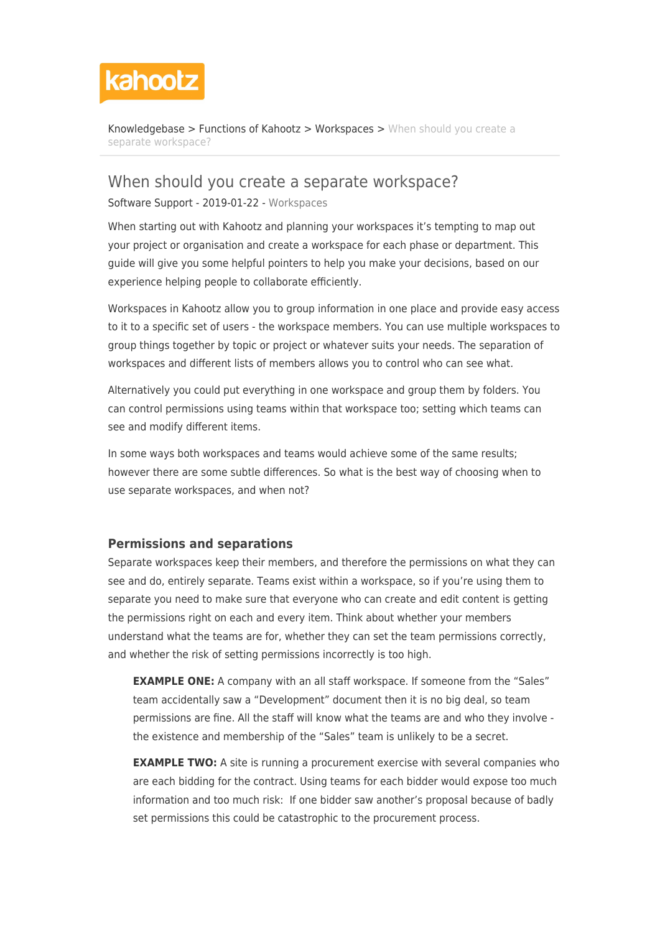

[Knowledgebase](https://help.kahootz.com/kb) > [Functions of Kahootz](https://help.kahootz.com/kb/functions-of-kahootz) > [Workspaces](https://help.kahootz.com/kb/workspaces) > [When should you create a](https://help.kahootz.com/kb/articles/when-should-you-create-a-separate-workspace) [separate workspace?](https://help.kahootz.com/kb/articles/when-should-you-create-a-separate-workspace)

# When should you create a separate workspace?

Software Support - 2019-01-22 - [Workspaces](https://help.kahootz.com/kb/workspaces)

When starting out with Kahootz and planning your workspaces it's tempting to map out your project or organisation and create a workspace for each phase or department. This guide will give you some helpful pointers to help you make your decisions, based on our experience helping people to collaborate efficiently.

Workspaces in Kahootz allow you to group information in one place and provide easy access to it to a specific set of users - the workspace members. You can use multiple workspaces to group things together by topic or project or whatever suits your needs. The separation of workspaces and different lists of members allows you to control who can see what.

Alternatively you could put everything in one workspace and group them by folders. You can control permissions using teams within that workspace too; setting which teams can see and modify different items.

In some ways both workspaces and teams would achieve some of the same results; however there are some subtle differences. So what is the best way of choosing when to use separate workspaces, and when not?

#### **Permissions and separations**

Separate workspaces keep their members, and therefore the permissions on what they can see and do, entirely separate. Teams exist within a workspace, so if you're using them to separate you need to make sure that everyone who can create and edit content is getting the permissions right on each and every item. Think about whether your members understand what the teams are for, whether they can set the team permissions correctly, and whether the risk of setting permissions incorrectly is too high.

**EXAMPLE ONE:** A company with an all staff workspace. If someone from the "Sales" team accidentally saw a "Development" document then it is no big deal, so team permissions are fine. All the staff will know what the teams are and who they involve the existence and membership of the "Sales" team is unlikely to be a secret.

**EXAMPLE TWO:** A site is running a procurement exercise with several companies who are each bidding for the contract. Using teams for each bidder would expose too much information and too much risk: If one bidder saw another's proposal because of badly set permissions this could be catastrophic to the procurement process.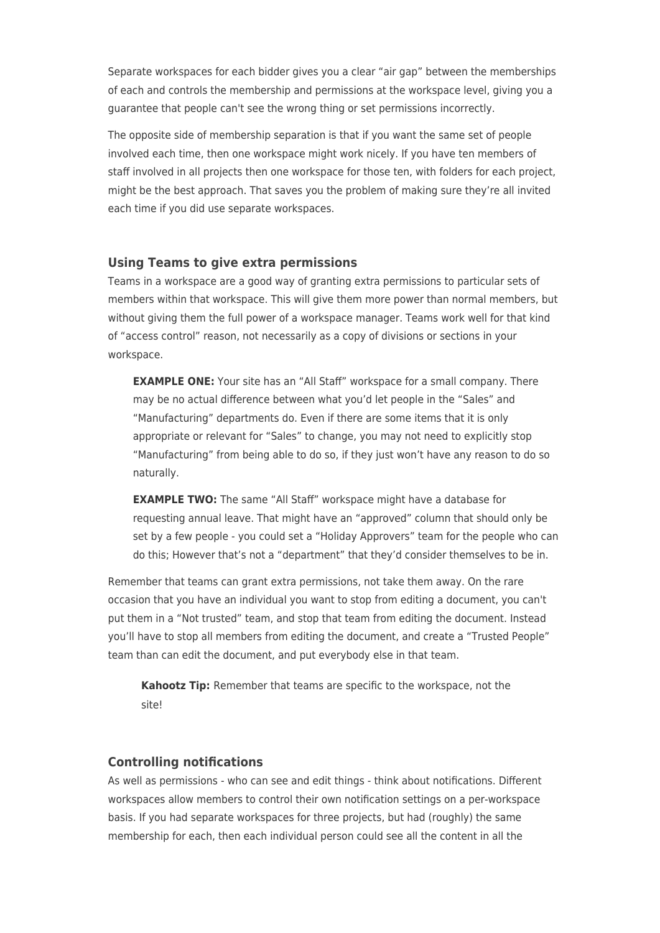Separate workspaces for each bidder gives you a clear "air gap" between the memberships of each and controls the membership and permissions at the workspace level, giving you a guarantee that people can't see the wrong thing or set permissions incorrectly.

The opposite side of membership separation is that if you want the same set of people involved each time, then one workspace might work nicely. If you have ten members of staff involved in all projects then one workspace for those ten, with folders for each project, might be the best approach. That saves you the problem of making sure they're all invited each time if you did use separate workspaces.

### **Using Teams to give extra permissions**

Teams in a workspace are a good way of granting extra permissions to particular sets of members within that workspace. This will give them more power than normal members, but without giving them the full power of a workspace manager. Teams work well for that kind of "access control" reason, not necessarily as a copy of divisions or sections in your workspace.

**EXAMPLE ONE:** Your site has an "All Staff" workspace for a small company. There may be no actual difference between what you'd let people in the "Sales" and "Manufacturing" departments do. Even if there are some items that it is only appropriate or relevant for "Sales" to change, you may not need to explicitly stop "Manufacturing" from being able to do so, if they just won't have any reason to do so naturally.

**EXAMPLE TWO:** The same "All Staff" workspace might have a database for requesting annual leave. That might have an "approved" column that should only be set by a few people - you could set a "Holiday Approvers" team for the people who can do this; However that's not a "department" that they'd consider themselves to be in.

Remember that teams can grant extra permissions, not take them away. On the rare occasion that you have an individual you want to stop from editing a document, you can't put them in a "Not trusted" team, and stop that team from editing the document. Instead you'll have to stop all members from editing the document, and create a "Trusted People" team than can edit the document, and put everybody else in that team.

**Kahootz Tip:** Remember that teams are specific to the workspace, not the site!

## **Controlling notifications**

As well as permissions - who can see and edit things - think about notifications. Different workspaces allow members to control their own notification settings on a per-workspace basis. If you had separate workspaces for three projects, but had (roughly) the same membership for each, then each individual person could see all the content in all the